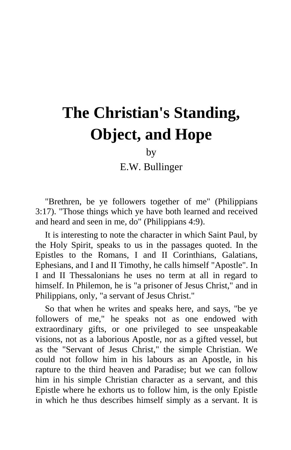# **The Christian's Standing, Object, and Hope**

by

E.W. Bullinger

"Brethren, be ye followers together of me" (Philippians 3:17). "Those things which ye have both learned and received and heard and seen in me, do" (Philippians 4:9).

It is interesting to note the character in which Saint Paul, by the Holy Spirit, speaks to us in the passages quoted. In the Epistles to the Romans, I and II Corinthians, Galatians, Ephesians, and I and II Timothy, he calls himself "Apostle". In I and II Thessalonians he uses no term at all in regard to himself. In Philemon, he is "a prisoner of Jesus Christ," and in Philippians, only, "a servant of Jesus Christ."

So that when he writes and speaks here, and says, "be ye followers of me," he speaks not as one endowed with extraordinary gifts, or one privileged to see unspeakable visions, not as a laborious Apostle, nor as a gifted vessel, but as the "Servant of Jesus Christ," the simple Christian. We could not follow him in his labours as an Apostle, in his rapture to the third heaven and Paradise; but we can follow him in his simple Christian character as a servant, and this Epistle where he exhorts us to follow him, is the only Epistle in which he thus describes himself simply as a servant. It is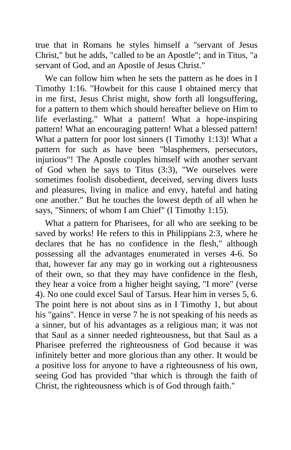true that in Romans he styles himself a "servant of Jesus Christ," but he adds, "called to be an Apostle"; and in Titus, "a servant of God, and an Apostle of Jesus Christ."

We can follow him when he sets the pattern as he does in I Timothy 1:16. "Howbeit for this cause I obtained mercy that in me first, Jesus Christ might, show forth all longsuffering, for a pattern to them which should hereafter believe on Him to life everlasting." What a pattern! What a hope-inspiring pattern! What an encouraging pattern! What a blessed pattern! What a pattern for poor lost sinners (I Timothy 1:13)! What a pattern for such as have been "blasphemers, persecutors, injurious"! The Apostle couples himself with another servant of God when he says to Titus (3:3), "We ourselves were sometimes foolish disobedient, deceived, serving divers lusts and pleasures, living in malice and envy, hateful and hating one another." But he touches the lowest depth of all when he says, "Sinners; of whom I am Chief" (I Timothy 1:15).

What a pattern for Pharisees, for all who are seeking to be saved by works! He refers to this in Philippians 2:3, where he declares that he has no confidence in the flesh," although possessing all the advantages enumerated in verses 4-6. So that, however far any may go in working out a righteousness of their own, so that they may have confidence in the flesh, they hear a voice from a higher height saying, "I more" (verse 4). No one could excel Saul of Tarsus. Hear him in verses 5, 6. The point here is not about sins as in I Timothy 1, but about his "gains". Hence in verse 7 he is not speaking of his needs as a sinner, but of his advantages as a religious man; it was not that Saul as a sinner needed righteousness, but that Saul as a Pharisee preferred the righteousness of God because it was infinitely better and more glorious than any other. It would be a positive loss for anyone to have a righteousness of his own, seeing God has provided "that which is through the faith of Christ, the righteousness which is of God through faith."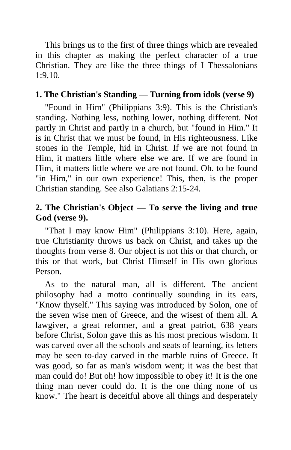This brings us to the first of three things which are revealed in this chapter as making the perfect character of a true Christian. They are like the three things of I Thessalonians 1:9,10.

## **1. The Christian's Standing — Turning from idols (verse 9)**

"Found in Him" (Philippians 3:9). This is the Christian's standing. Nothing less, nothing lower, nothing different. Not partly in Christ and partly in a church, but "found in Him." It is in Christ that we must be found, in His righteousness. Like stones in the Temple, hid in Christ. If we are not found in Him, it matters little where else we are. If we are found in Him, it matters little where we are not found. Oh. to be found "in Him," in our own experience! This, then, is the proper Christian standing. See also Galatians 2:15-24.

## **2. The Christian's Object — To serve the living and true God (verse 9).**

"That I may know Him" (Philippians 3:10). Here, again, true Christianity throws us back on Christ, and takes up the thoughts from verse 8. Our object is not this or that church, or this or that work, but Christ Himself in His own glorious Person.

As to the natural man, all is different. The ancient philosophy had a motto continually sounding in its ears, "Know thyself." This saying was introduced by Solon, one of the seven wise men of Greece, and the wisest of them all. A lawgiver, a great reformer, and a great patriot, 638 years before Christ, Solon gave this as his most precious wisdom. It was carved over all the schools and seats of learning, its letters may be seen to-day carved in the marble ruins of Greece. It was good, so far as man's wisdom went; it was the best that man could do! But oh! how impossible to obey it! It is the one thing man never could do. It is the one thing none of us know." The heart is deceitful above all things and desperately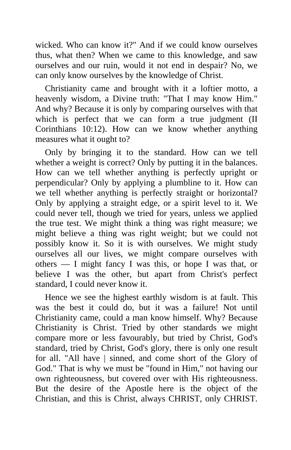wicked. Who can know it?" And if we could know ourselves thus, what then? When we came to this knowledge, and saw ourselves and our ruin, would it not end in despair? No, we can only know ourselves by the knowledge of Christ.

Christianity came and brought with it a loftier motto, a heavenly wisdom, a Divine truth: "That I may know Him." And why? Because it is only by comparing ourselves with that which is perfect that we can form a true judgment (II Corinthians 10:12). How can we know whether anything measures what it ought to?

Only by bringing it to the standard. How can we tell whether a weight is correct? Only by putting it in the balances. How can we tell whether anything is perfectly upright or perpendicular? Only by applying a plumbline to it. How can we tell whether anything is perfectly straight or horizontal? Only by applying a straight edge, or a spirit level to it. We could never tell, though we tried for years, unless we applied the true test. We might think a thing was right measure; we might believe a thing was right weight; but we could not possibly know it. So it is with ourselves. We might study ourselves all our lives, we might compare ourselves with others — I might fancy I was this, or hope I was that, or believe I was the other, but apart from Christ's perfect standard, I could never know it.

Hence we see the highest earthly wisdom is at fault. This was the best it could do, but it was a failure! Not until Christianity came, could a man know himself. Why? Because Christianity is Christ. Tried by other standards we might compare more or less favourably, but tried by Christ, God's standard, tried by Christ, God's glory, there is only one result for all. "All have | sinned, and come short of the Glory of God." That is why we must be "found in Him," not having our own righteousness, but covered over with His righteousness. But the desire of the Apostle here is the object of the Christian, and this is Christ, always CHRIST, only CHRIST.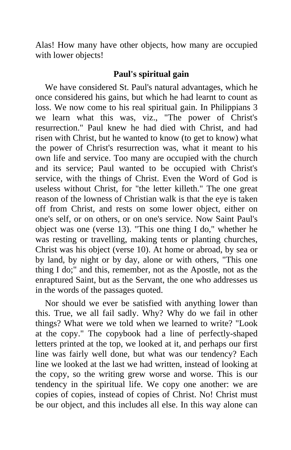Alas! How many have other objects, how many are occupied with lower objects!

### **Paul's spiritual gain**

We have considered St. Paul's natural advantages, which he once considered his gains, but which he had learnt to count as loss. We now come to his real spiritual gain. In Philippians 3 we learn what this was, viz., "The power of Christ's resurrection." Paul knew he had died with Christ, and had risen with Christ, but he wanted to know (to get to know) what the power of Christ's resurrection was, what it meant to his own life and service. Too many are occupied with the church and its service; Paul wanted to be occupied with Christ's service, with the things of Christ. Even the Word of God is useless without Christ, for "the letter killeth." The one great reason of the lowness of Christian walk is that the eye is taken off from Christ, and rests on some lower object, either on one's self, or on others, or on one's service. Now Saint Paul's object was one (verse 13). "This one thing I do," whether he was resting or travelling, making tents or planting churches, Christ was his object (verse 10). At home or abroad, by sea or by land, by night or by day, alone or with others, "This one thing I do;" and this, remember, not as the Apostle, not as the enraptured Saint, but as the Servant, the one who addresses us in the words of the passages quoted.

Nor should we ever be satisfied with anything lower than this. True, we all fail sadly. Why? Why do we fail in other things? What were we told when we learned to write? "Look at the copy." The copybook had a line of perfectly-shaped letters printed at the top, we looked at it, and perhaps our first line was fairly well done, but what was our tendency? Each line we looked at the last we had written, instead of looking at the copy, so the writing grew worse and worse. This is our tendency in the spiritual life. We copy one another: we are copies of copies, instead of copies of Christ. No! Christ must be our object, and this includes all else. In this way alone can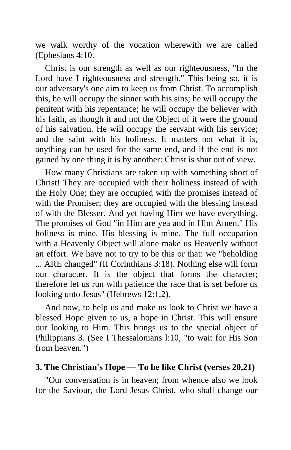we walk worthy of the vocation wherewith we are called (Ephesians 4:10.

Christ is our strength as well as our righteousness, "In the Lord have I righteousness and strength." This being so, it is our adversary's one aim to keep us from Christ. To accomplish this, he will occupy the sinner with his sins; he will occupy the penitent with his repentance; he will occupy the believer with his faith, as though it and not the Object of it were the ground of his salvation. He will occupy the servant with his service; and the saint with his holiness. It matters not what it is, anything can be used for the same end, and if the end is not gained by one thing it is by another: Christ is shut out of view.

How many Christians are taken up with something short of Christ! They are occupied with their holiness instead of with the Holy One; they are occupied with the promises instead of with the Promiser; they are occupied with the blessing instead of with the Blesser. And yet having Him we have everything. The promises of God "in Him are yea and in Him Amen." His holiness is mine. His blessing is mine. The full occupation with a Heavenly Object will alone make us Heavenly without an effort. We have not to try to be this or that: we "beholding ... ARE changed" (II Corinthians 3:18). Nothing else will form our character. It is the object that forms the character; therefore let us run with patience the race that is set before us looking unto Jesus" (Hebrews 12:1,2).

And now, to help us and make us look to Christ we have a blessed Hope given to us, a hope in Christ. This will ensure our looking to Him. This brings us to the special object of Philippians 3. (See I Thessalonians l:10, "to wait for His Son from heaven.")

### **3. The Christian's Hope — To be like Christ (verses 20,21)**

"Our conversation is in heaven; from whence also we look for the Saviour, the Lord Jesus Christ, who shall change our